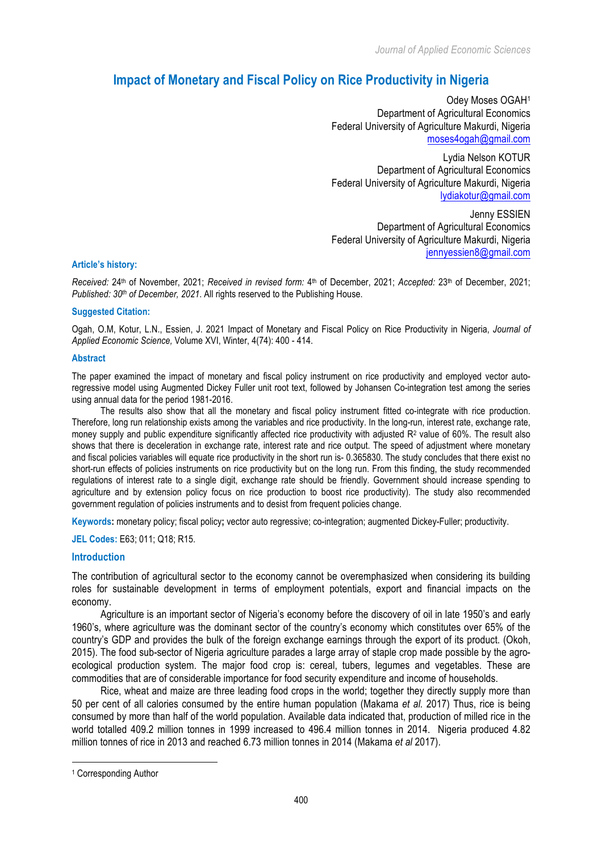*Journal of Applied Economic Sciences*

# **Impact of Monetary and Fiscal Policy on Rice Productivity in Nigeria**

Odey Moses OGAH1 Department of Agricultural Economics Federal University of Agriculture Makurdi, Nigeria moses4ogah@gmail.com

Lydia Nelson KOTUR Department of Agricultural Economics Federal University of Agriculture Makurdi, Nigeria lydiakotur@gmail.com

Jenny ESSIEN Department of Agricultural Economics Federal University of Agriculture Makurdi, Nigeria jennyessien8@gmail.com

#### **Article's history:**

*Received:* 24th of November, 2021; *Received in revised form:* 4th of December, 2021; *Accepted:* 23th of December, 2021; *Published: 30th of December, 2021*. All rights reserved to the Publishing House.

#### **Suggested Citation:**

Ogah, O.M, Kotur, L.N., Essien, J. 2021 Impact of Monetary and Fiscal Policy on Rice Productivity in Nigeria, *Journal of Applied Economic Science,* Volume XVI, Winter, 4(74): 400 - 414.

#### **Abstract**

The paper examined the impact of monetary and fiscal policy instrument on rice productivity and employed vector autoregressive model using Augmented Dickey Fuller unit root text, followed by Johansen Co-integration test among the series using annual data for the period 1981-2016.

The results also show that all the monetary and fiscal policy instrument fitted co-integrate with rice production. Therefore, long run relationship exists among the variables and rice productivity. In the long-run, interest rate, exchange rate, money supply and public expenditure significantly affected rice productivity with adjusted  $R<sup>2</sup>$  value of 60%. The result also shows that there is deceleration in exchange rate, interest rate and rice output. The speed of adjustment where monetary and fiscal policies variables will equate rice productivity in the short run is- 0.365830. The study concludes that there exist no short-run effects of policies instruments on rice productivity but on the long run. From this finding, the study recommended regulations of interest rate to a single digit, exchange rate should be friendly. Government should increase spending to agriculture and by extension policy focus on rice production to boost rice productivity). The study also recommended government regulation of policies instruments and to desist from frequent policies change.

**Keywords:** monetary policy; fiscal policy**;** vector auto regressive; co-integration; augmented Dickey-Fuller; productivity.

**JEL Codes:** E63; 011; Q18; R15.

#### **Introduction**

The contribution of agricultural sector to the economy cannot be overemphasized when considering its building roles for sustainable development in terms of employment potentials, export and financial impacts on the economy.

Agriculture is an important sector of Nigeria's economy before the discovery of oil in late 1950's and early 1960's, where agriculture was the dominant sector of the country's economy which constitutes over 65% of the country's GDP and provides the bulk of the foreign exchange earnings through the export of its product. (Okoh, 2015). The food sub-sector of Nigeria agriculture parades a large array of staple crop made possible by the agroecological production system. The major food crop is: cereal, tubers, legumes and vegetables. These are commodities that are of considerable importance for food security expenditure and income of households.

Rice, wheat and maize are three leading food crops in the world; together they directly supply more than 50 per cent of all calories consumed by the entire human population (Makama *et al.* 2017) Thus, rice is being consumed by more than half of the world population. Available data indicated that, production of milled rice in the world totalled 409.2 million tonnes in 1999 increased to 496.4 million tonnes in 2014. Nigeria produced 4.82 million tonnes of rice in 2013 and reached 6.73 million tonnes in 2014 (Makama *et al* 2017).

 $\overline{a}$ 

<sup>1</sup> Corresponding Author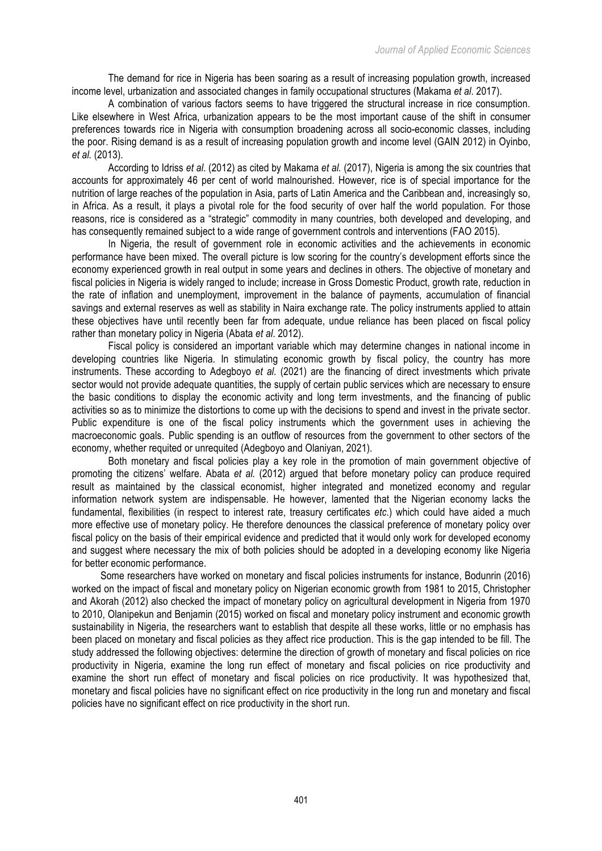The demand for rice in Nigeria has been soaring as a result of increasing population growth, increased income level, urbanization and associated changes in family occupational structures (Makama *et al*. 2017).

A combination of various factors seems to have triggered the structural increase in rice consumption. Like elsewhere in West Africa, urbanization appears to be the most important cause of the shift in consumer preferences towards rice in Nigeria with consumption broadening across all socio-economic classes, including the poor. Rising demand is as a result of increasing population growth and income level (GAIN 2012) in Oyinbo, *et al.* (2013).

According to Idriss *et al*. (2012) as cited by Makama *et al.* (2017), Nigeria is among the six countries that accounts for approximately 46 per cent of world malnourished. However, rice is of special importance for the nutrition of large reaches of the population in Asia, parts of Latin America and the Caribbean and, increasingly so, in Africa. As a result, it plays a pivotal role for the food security of over half the world population. For those reasons, rice is considered as a "strategic" commodity in many countries, both developed and developing, and has consequently remained subject to a wide range of government controls and interventions (FAO 2015).

In Nigeria, the result of government role in economic activities and the achievements in economic performance have been mixed. The overall picture is low scoring for the country's development efforts since the economy experienced growth in real output in some years and declines in others. The objective of monetary and fiscal policies in Nigeria is widely ranged to include; increase in Gross Domestic Product, growth rate, reduction in the rate of inflation and unemployment, improvement in the balance of payments, accumulation of financial savings and external reserves as well as stability in Naira exchange rate. The policy instruments applied to attain these objectives have until recently been far from adequate, undue reliance has been placed on fiscal policy rather than monetary policy in Nigeria (Abata *et al*. 2012).

Fiscal policy is considered an important variable which may determine changes in national income in developing countries like Nigeria. In stimulating economic growth by fiscal policy, the country has more instruments. These according to Adegboyo *et al.* (2021) are the financing of direct investments which private sector would not provide adequate quantities, the supply of certain public services which are necessary to ensure the basic conditions to display the economic activity and long term investments, and the financing of public activities so as to minimize the distortions to come up with the decisions to spend and invest in the private sector. Public expenditure is one of the fiscal policy instruments which the government uses in achieving the macroeconomic goals. Public spending is an outflow of resources from the government to other sectors of the economy, whether requited or unrequited (Adegboyo and Olaniyan, 2021).

Both monetary and fiscal policies play a key role in the promotion of main government objective of promoting the citizens' welfare. Abata *et al.* (2012) argued that before monetary policy can produce required result as maintained by the classical economist, higher integrated and monetized economy and regular information network system are indispensable. He however, lamented that the Nigerian economy lacks the fundamental, flexibilities (in respect to interest rate, treasury certificates *etc*.) which could have aided a much more effective use of monetary policy. He therefore denounces the classical preference of monetary policy over fiscal policy on the basis of their empirical evidence and predicted that it would only work for developed economy and suggest where necessary the mix of both policies should be adopted in a developing economy like Nigeria for better economic performance.

Some researchers have worked on monetary and fiscal policies instruments for instance, Bodunrin (2016) worked on the impact of fiscal and monetary policy on Nigerian economic growth from 1981 to 2015, Christopher and Akorah (2012) also checked the impact of monetary policy on agricultural development in Nigeria from 1970 to 2010, Olanipekun and Benjamin (2015) worked on fiscal and monetary policy instrument and economic growth sustainability in Nigeria, the researchers want to establish that despite all these works, little or no emphasis has been placed on monetary and fiscal policies as they affect rice production. This is the gap intended to be fill. The study addressed the following objectives: determine the direction of growth of monetary and fiscal policies on rice productivity in Nigeria, examine the long run effect of monetary and fiscal policies on rice productivity and examine the short run effect of monetary and fiscal policies on rice productivity. It was hypothesized that, monetary and fiscal policies have no significant effect on rice productivity in the long run and monetary and fiscal policies have no significant effect on rice productivity in the short run.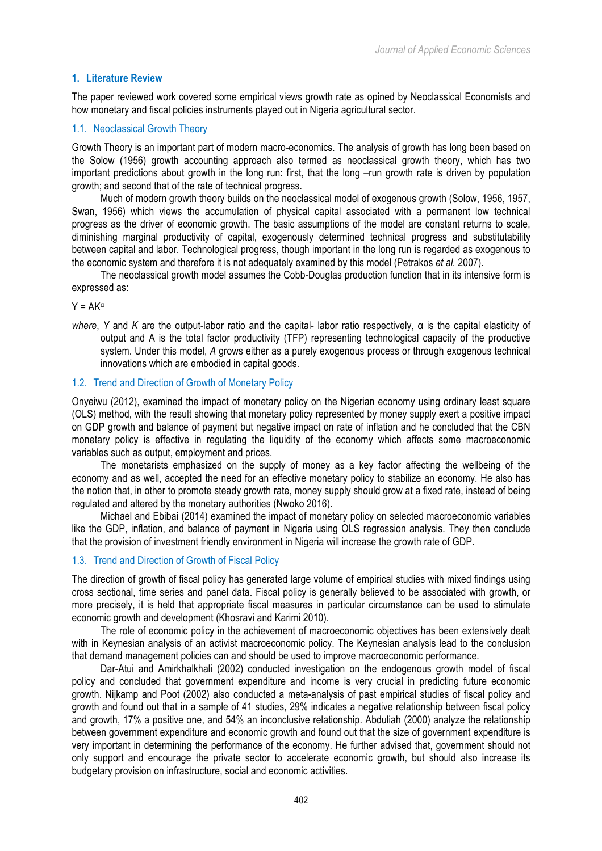# **1. Literature Review**

The paper reviewed work covered some empirical views growth rate as opined by Neoclassical Economists and how monetary and fiscal policies instruments played out in Nigeria agricultural sector.

# 1.1. Neoclassical Growth Theory

Growth Theory is an important part of modern macro-economics. The analysis of growth has long been based on the Solow (1956) growth accounting approach also termed as neoclassical growth theory, which has two important predictions about growth in the long run: first, that the long –run growth rate is driven by population growth; and second that of the rate of technical progress.

Much of modern growth theory builds on the neoclassical model of exogenous growth (Solow, 1956, 1957, Swan, 1956) which views the accumulation of physical capital associated with a permanent low technical progress as the driver of economic growth. The basic assumptions of the model are constant returns to scale, diminishing marginal productivity of capital, exogenously determined technical progress and substitutability between capital and labor. Technological progress, though important in the long run is regarded as exogenous to the economic system and therefore it is not adequately examined by this model (Petrakos *et al.* 2007).

The neoclassical growth model assumes the Cobb-Douglas production function that in its intensive form is expressed as:

 $Y = AK^{\alpha}$ 

*where*, *Y* and *K* are the output-labor ratio and the capital- labor ratio respectively, α is the capital elasticity of output and A is the total factor productivity (TFP) representing technological capacity of the productive system. Under this model, *A* grows either as a purely exogenous process or through exogenous technical innovations which are embodied in capital goods.

# 1.2. Trend and Direction of Growth of Monetary Policy

Onyeiwu (2012), examined the impact of monetary policy on the Nigerian economy using ordinary least square (OLS) method, with the result showing that monetary policy represented by money supply exert a positive impact on GDP growth and balance of payment but negative impact on rate of inflation and he concluded that the CBN monetary policy is effective in regulating the liquidity of the economy which affects some macroeconomic variables such as output, employment and prices.

The monetarists emphasized on the supply of money as a key factor affecting the wellbeing of the economy and as well, accepted the need for an effective monetary policy to stabilize an economy. He also has the notion that, in other to promote steady growth rate, money supply should grow at a fixed rate, instead of being regulated and altered by the monetary authorities (Nwoko 2016).

Michael and Ebibai (2014) examined the impact of monetary policy on selected macroeconomic variables like the GDP, inflation, and balance of payment in Nigeria using OLS regression analysis. They then conclude that the provision of investment friendly environment in Nigeria will increase the growth rate of GDP.

# 1.3. Trend and Direction of Growth of Fiscal Policy

The direction of growth of fiscal policy has generated large volume of empirical studies with mixed findings using cross sectional, time series and panel data. Fiscal policy is generally believed to be associated with growth, or more precisely, it is held that appropriate fiscal measures in particular circumstance can be used to stimulate economic growth and development (Khosravi and Karimi 2010).

The role of economic policy in the achievement of macroeconomic objectives has been extensively dealt with in Keynesian analysis of an activist macroeconomic policy. The Keynesian analysis lead to the conclusion that demand management policies can and should be used to improve macroeconomic performance.

Dar-Atui and Amirkhalkhali (2002) conducted investigation on the endogenous growth model of fiscal policy and concluded that government expenditure and income is very crucial in predicting future economic growth. Nijkamp and Poot (2002) also conducted a meta-analysis of past empirical studies of fiscal policy and growth and found out that in a sample of 41 studies, 29% indicates a negative relationship between fiscal policy and growth, 17% a positive one, and 54% an inconclusive relationship. Abduliah (2000) analyze the relationship between government expenditure and economic growth and found out that the size of government expenditure is very important in determining the performance of the economy. He further advised that, government should not only support and encourage the private sector to accelerate economic growth, but should also increase its budgetary provision on infrastructure, social and economic activities.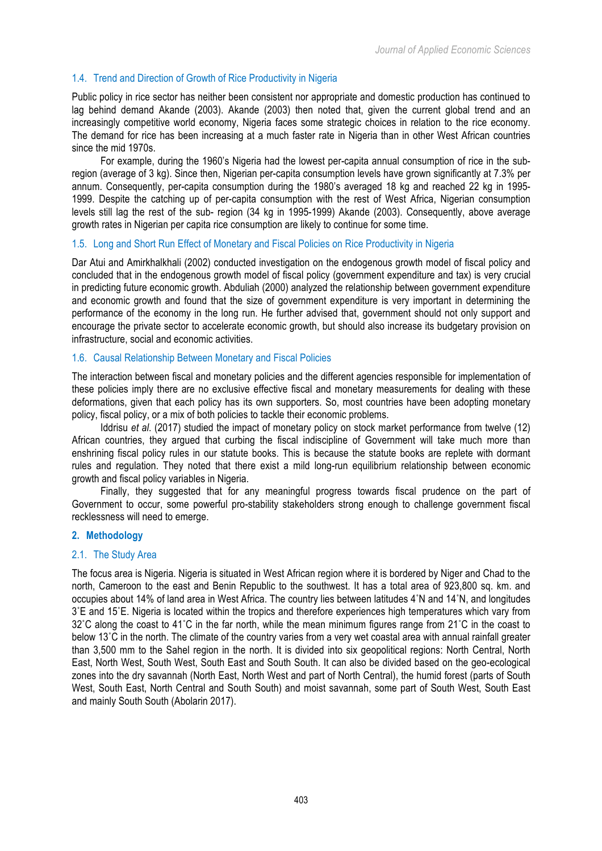# 1.4. Trend and Direction of Growth of Rice Productivity in Nigeria

Public policy in rice sector has neither been consistent nor appropriate and domestic production has continued to lag behind demand Akande (2003). Akande (2003) then noted that, given the current global trend and an increasingly competitive world economy, Nigeria faces some strategic choices in relation to the rice economy. The demand for rice has been increasing at a much faster rate in Nigeria than in other West African countries since the mid 1970s.

For example, during the 1960's Nigeria had the lowest per-capita annual consumption of rice in the subregion (average of 3 kg). Since then, Nigerian per-capita consumption levels have grown significantly at 7.3% per annum. Consequently, per-capita consumption during the 1980's averaged 18 kg and reached 22 kg in 1995- 1999. Despite the catching up of per-capita consumption with the rest of West Africa, Nigerian consumption levels still lag the rest of the sub- region (34 kg in 1995-1999) Akande (2003). Consequently, above average growth rates in Nigerian per capita rice consumption are likely to continue for some time.

#### 1.5. Long and Short Run Effect of Monetary and Fiscal Policies on Rice Productivity in Nigeria

Dar Atui and Amirkhalkhali (2002) conducted investigation on the endogenous growth model of fiscal policy and concluded that in the endogenous growth model of fiscal policy (government expenditure and tax) is very crucial in predicting future economic growth. Abduliah (2000) analyzed the relationship between government expenditure and economic growth and found that the size of government expenditure is very important in determining the performance of the economy in the long run. He further advised that, government should not only support and encourage the private sector to accelerate economic growth, but should also increase its budgetary provision on infrastructure, social and economic activities.

#### 1.6. Causal Relationship Between Monetary and Fiscal Policies

The interaction between fiscal and monetary policies and the different agencies responsible for implementation of these policies imply there are no exclusive effective fiscal and monetary measurements for dealing with these deformations, given that each policy has its own supporters. So, most countries have been adopting monetary policy, fiscal policy, or a mix of both policies to tackle their economic problems.

Iddrisu *et al*. (2017) studied the impact of monetary policy on stock market performance from twelve (12) African countries, they argued that curbing the fiscal indiscipline of Government will take much more than enshrining fiscal policy rules in our statute books. This is because the statute books are replete with dormant rules and regulation. They noted that there exist a mild long-run equilibrium relationship between economic growth and fiscal policy variables in Nigeria.

Finally, they suggested that for any meaningful progress towards fiscal prudence on the part of Government to occur, some powerful pro-stability stakeholders strong enough to challenge government fiscal recklessness will need to emerge.

# **2. Methodology**

#### 2.1. The Study Area

The focus area is Nigeria. Nigeria is situated in West African region where it is bordered by Niger and Chad to the north, Cameroon to the east and Benin Republic to the southwest. It has a total area of 923,800 sq. km. and occupies about 14% of land area in West Africa. The country lies between latitudes 4˚N and 14˚N, and longitudes 3˚E and 15˚E. Nigeria is located within the tropics and therefore experiences high temperatures which vary from 32˚C along the coast to 41˚C in the far north, while the mean minimum figures range from 21˚C in the coast to below 13˚C in the north. The climate of the country varies from a very wet coastal area with annual rainfall greater than 3,500 mm to the Sahel region in the north. It is divided into six geopolitical regions: North Central, North East, North West, South West, South East and South South. It can also be divided based on the geo-ecological zones into the dry savannah (North East, North West and part of North Central), the humid forest (parts of South West, South East, North Central and South South) and moist savannah, some part of South West, South East and mainly South South (Abolarin 2017).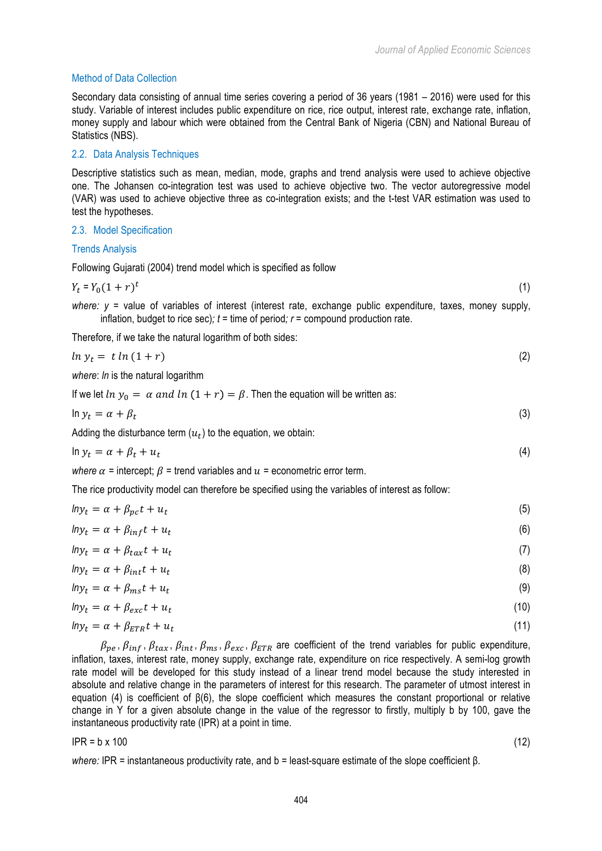# Method of Data Collection

Secondary data consisting of annual time series covering a period of 36 years (1981 – 2016) were used for this study. Variable of interest includes public expenditure on rice, rice output, interest rate, exchange rate, inflation, money supply and labour which were obtained from the Central Bank of Nigeria (CBN) and National Bureau of Statistics (NBS).

## 2.2. Data Analysis Techniques

Descriptive statistics such as mean, median, mode, graphs and trend analysis were used to achieve objective one. The Johansen co-integration test was used to achieve objective two. The vector autoregressive model (VAR) was used to achieve objective three as co-integration exists; and the t-test VAR estimation was used to test the hypotheses.

#### 2.3. Model Specification

#### Trends Analysis

Following Gujarati (2004) trend model which is specified as follow

$$
Y_t = Y_0 (1+r)^t \tag{1}
$$

*where: y* = value of variables of interest (interest rate, exchange public expenditure, taxes, money supply, inflation, budget to rice sec);  $t =$  time of period;  $r =$  compound production rate.

Therefore, if we take the natural logarithm of both sides:

$$
ln y_t = t ln (1+r) \tag{2}
$$

*where*: *ln* is the natural logarithm

If we let  $ln y_0 = \alpha$  and  $ln (1 + r) = \beta$ . Then the equation will be written as:

$$
\ln y_t = \alpha + \beta_t \tag{3}
$$

Adding the disturbance term  $(u_t)$  to the equation, we obtain:

$$
\ln y_t = \alpha + \beta_t + u_t \tag{4}
$$

*where*  $\alpha$  = intercept;  $\beta$  = trend variables and  $\alpha$  = econometric error term.

The rice productivity model can therefore be specified using the variables of interest as follow:

| $ln y_t = \alpha + \beta_{pc}t + u_t$   | (5)  |
|-----------------------------------------|------|
| $ln y_t = \alpha + \beta_{inf} t + u_t$ | (6)  |
| $lny_t = \alpha + \beta_{tax}t + u_t$   | (7)  |
| $lny_t = \alpha + \beta_{int}t + u_t$   | (8)  |
| $lny_t = \alpha + \beta_{ms}t + u_t$    | (9)  |
| $lny_t = \alpha + \beta_{exc}t + u_t$   | (10) |
| $lny_t = \alpha + \beta_{ETR}t + u_t$   | (11) |

 $\beta_{pe}$ ,  $\beta_{inf}$ ,  $\beta_{tax}$ ,  $\beta_{int}$ ,  $\beta_{ms}$ ,  $\beta_{exc}$ ,  $\beta_{ETR}$  are coefficient of the trend variables for public expenditure, inflation, taxes, interest rate, money supply, exchange rate, expenditure on rice respectively. A semi-log growth rate model will be developed for this study instead of a linear trend model because the study interested in absolute and relative change in the parameters of interest for this research. The parameter of utmost interest in equation (4) is coefficient of β(6), the slope coefficient which measures the constant proportional or relative change in Y for a given absolute change in the value of the regressor to firstly, multiply b by 100, gave the instantaneous productivity rate (IPR) at a point in time.

#### $IPR = b \times 100$  (12)

*where:* IPR = instantaneous productivity rate, and b = least-square estimate of the slope coefficient β.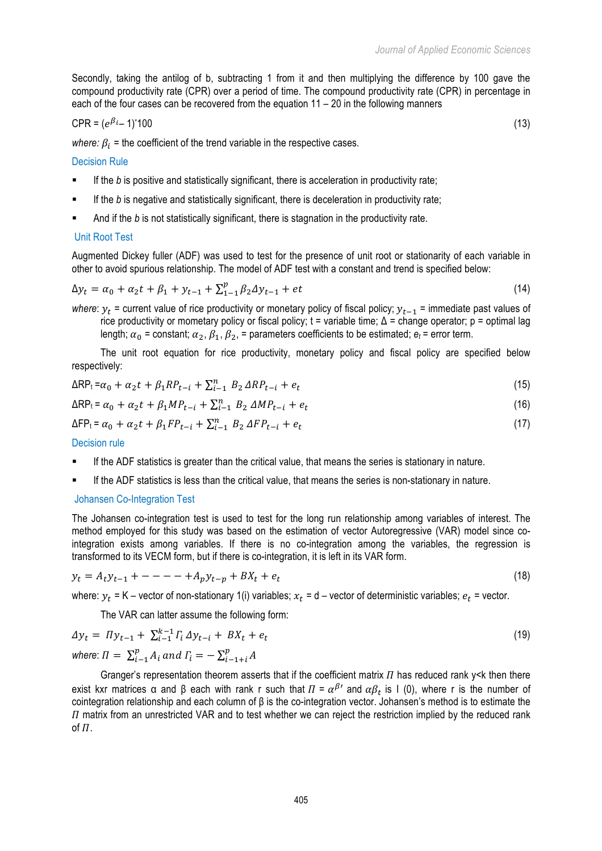Secondly, taking the antilog of b, subtracting 1 from it and then multiplying the difference by 100 gave the compound productivity rate (CPR) over a period of time. The compound productivity rate (CPR) in percentage in each of the four cases can be recovered from the equation 11 – 20 in the following manners

$$
CPR = (e^{\beta i} - 1)^*100 \tag{13}
$$

*where:*  $\beta_i$  = the coefficient of the trend variable in the respective cases.

#### Decision Rule

- **■** If the *b* is positive and statistically significant, there is acceleration in productivity rate;
- **■** If the *b* is negative and statistically significant, there is deceleration in productivity rate;
- And if the *b* is not statistically significant, there is stagnation in the productivity rate.

#### Unit Root Test

Augmented Dickey fuller (ADF) was used to test for the presence of unit root or stationarity of each variable in other to avoid spurious relationship. The model of ADF test with a constant and trend is specified below:

$$
\Delta y_t = \alpha_0 + \alpha_2 t + \beta_1 + y_{t-1} + \sum_{1=1}^p \beta_2 \Delta y_{t-1} + et \tag{14}
$$

*where*:  $y_t$  = current value of rice productivity or monetary policy of fiscal policy;  $y_{t-1}$  = immediate past values of rice productivity or mometary policy or fiscal policy;  $t =$  variable time;  $Δ =$  change operator;  $p =$  optimal lag length;  $\alpha_0$  = constant;  $\alpha_2$ ,  $\beta_1$ ,  $\beta_2$ , = parameters coefficients to be estimated;  $e_t$  = error term.

The unit root equation for rice productivity, monetary policy and fiscal policy are specified below respectively:

$$
\Delta RP_t = \alpha_0 + \alpha_2 t + \beta_1 R P_{t-i} + \sum_{i=1}^n B_i \Delta R P_{t-i} + e_t
$$
\n(15)

$$
\Delta RP_t = \alpha_0 + \alpha_2 t + \beta_1 MP_{t-i} + \sum_{i=1}^n B_i \Delta MP_{t-i} + e_t
$$
\n(16)

$$
\Delta FP_{t} = \alpha_{0} + \alpha_{2}t + \beta_{1}FP_{t-i} + \sum_{i=1}^{n} B_{2} \Delta FP_{t-i} + e_{t}
$$
\n(17)

Decision rule

- If the ADF statistics is greater than the critical value, that means the series is stationary in nature.
- If the ADF statistics is less than the critical value, that means the series is non-stationary in nature.

#### Johansen Co-Integration Test

The Johansen co-integration test is used to test for the long run relationship among variables of interest. The method employed for this study was based on the estimation of vector Autoregressive (VAR) model since cointegration exists among variables. If there is no co-integration among the variables, the regression is transformed to its VECM form, but if there is co-integration, it is left in its VAR form.

$$
y_t = A_t y_{t-1} + - - - - + A_p y_{t-p} + B X_t + e_t
$$
\n<sup>(18)</sup>

where:  $y_t = K -$  vector of non-stationary 1(i) variables;  $x_t = d -$  vector of deterministic variables;  $e_t =$  vector.

The VAR can latter assume the following form:

$$
\Delta y_t = \Pi y_{t-1} + \sum_{i=1}^{k-1} \Gamma_i \, \Delta y_{t-i} + BX_t + e_t \tag{19}
$$

where:  $\Pi = \sum_{i=1}^{p} A_i$  and  $\Gamma_i = -\sum_{i=1+i}^{p} A_i$ 

Granger's representation theorem asserts that if the coefficient matrix  $\Pi$  has reduced rank y<k then there exist kxr matrices a and β each with rank r such that  $\Pi = \alpha^{\beta}$  and  $\alpha \beta_t$  is I (0), where r is the number of cointegration relationship and each column of β is the co-integration vector. Johansen's method is to estimate the  $\eta$  matrix from an unrestricted VAR and to test whether we can reject the restriction implied by the reduced rank of  $\Pi$ .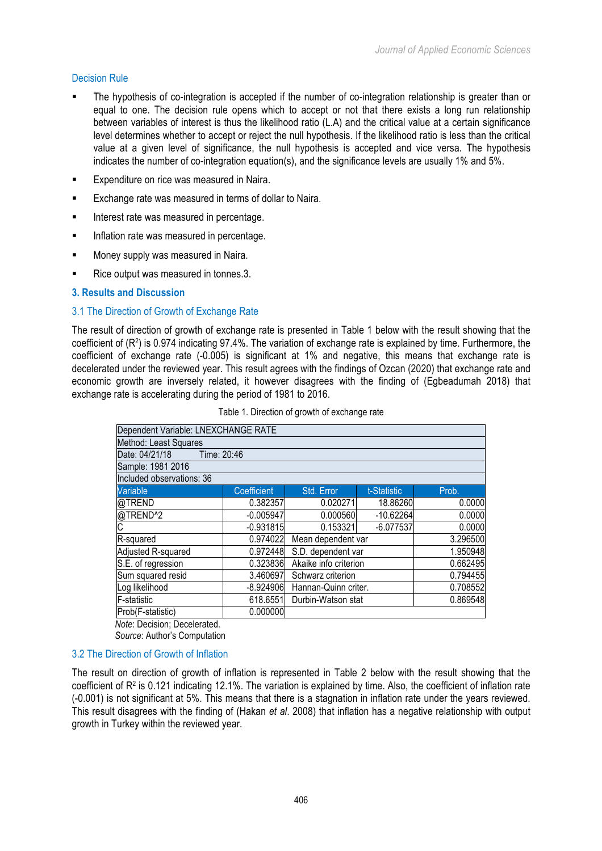# Decision Rule

- The hypothesis of co-integration is accepted if the number of co-integration relationship is greater than or equal to one. The decision rule opens which to accept or not that there exists a long run relationship between variables of interest is thus the likelihood ratio (L.A) and the critical value at a certain significance level determines whether to accept or reject the null hypothesis. If the likelihood ratio is less than the critical value at a given level of significance, the null hypothesis is accepted and vice versa. The hypothesis indicates the number of co-integration equation(s), and the significance levels are usually 1% and 5%.
- **Expenditure on rice was measured in Naira.**
- Exchange rate was measured in terms of dollar to Naira.
- **■** Interest rate was measured in percentage.
- **■** Inflation rate was measured in percentage.
- **■** Money supply was measured in Naira.
- § Rice output was measured in tonnes.3.

#### **3. Results and Discussion**

#### 3.1 The Direction of Growth of Exchange Rate

The result of direction of growth of exchange rate is presented in Table 1 below with the result showing that the coefficient of (R2) is 0.974 indicating 97.4%. The variation of exchange rate is explained by time. Furthermore, the coefficient of exchange rate (-0.005) is significant at 1% and negative, this means that exchange rate is decelerated under the reviewed year. This result agrees with the findings of Ozcan (2020) that exchange rate and economic growth are inversely related, it however disagrees with the finding of (Egbeadumah 2018) that exchange rate is accelerating during the period of 1981 to 2016.

| Dependent Variable: LNEXCHANGE RATE |             |  |                       |             |          |  |
|-------------------------------------|-------------|--|-----------------------|-------------|----------|--|
| Method: Least Squares               |             |  |                       |             |          |  |
| Date: 04/21/18                      | Time: 20:46 |  |                       |             |          |  |
| Sample: 1981 2016                   |             |  |                       |             |          |  |
| Included observations: 36           |             |  |                       |             |          |  |
| Variable                            | Coefficient |  | Std. Error            | t-Statistic | Prob.    |  |
| @TREND                              | 0.382357    |  | 0.020271              | 18.86260    | 0.0000   |  |
| @TREND^2<br>C                       | $-0.005947$ |  | 0.000560              | $-10.62264$ | 0.0000   |  |
|                                     | $-0.931815$ |  | 0.153321              | $-6.077537$ | 0.0000   |  |
| R-squared                           | 0.974022    |  | Mean dependent var    |             | 3.296500 |  |
| Adjusted R-squared                  | 0.972448    |  | S.D. dependent var    |             | 1.950948 |  |
| S.E. of regression                  | 0.323836    |  | Akaike info criterion |             | 0.662495 |  |
| Sum squared resid                   | 3.460697    |  | Schwarz criterion     |             | 0.794455 |  |
| Log likelihood                      | $-8.924906$ |  | Hannan-Quinn criter.  |             | 0.708552 |  |
| <b>F-statistic</b>                  | 618.6551    |  | Durbin-Watson stat    |             | 0.869548 |  |
| Prob(F-statistic)                   | 0.000000    |  |                       |             |          |  |
| . <b>.</b>                          |             |  |                       |             |          |  |

Table 1. Direction of growth of exchange rate

*Note*: Decision; Decelerated. *Source*: Author's Computation

# 3.2 The Direction of Growth of Inflation

The result on direction of growth of inflation is represented in Table 2 below with the result showing that the coefficient of R2 is 0.121 indicating 12.1%. The variation is explained by time. Also, the coefficient of inflation rate (-0.001) is not significant at 5%. This means that there is a stagnation in inflation rate under the years reviewed. This result disagrees with the finding of (Hakan *et al*. 2008) that inflation has a negative relationship with output growth in Turkey within the reviewed year.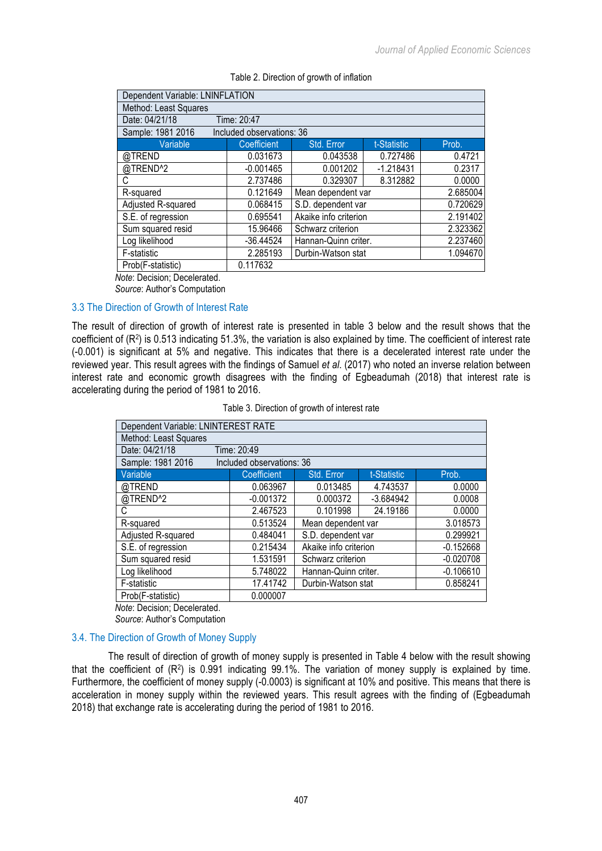| Dependent Variable: LNINFLATION |                           |                       |             |          |  |
|---------------------------------|---------------------------|-----------------------|-------------|----------|--|
| Method: Least Squares           |                           |                       |             |          |  |
| Date: 04/21/18                  | Time: 20:47               |                       |             |          |  |
| Sample: 1981 2016               | Included observations: 36 |                       |             |          |  |
| Variable                        | Coefficient               | Std. Error            | t-Statistic | Prob.    |  |
| @TREND                          | 0.031673                  | 0.043538              | 0.727486    | 0.4721   |  |
| @TREND^2                        | $-0.001465$               | 0.001202              | $-1.218431$ | 0.2317   |  |
| C                               | 2.737486                  | 0.329307              | 8.312882    | 0.0000   |  |
| R-squared                       | 0.121649                  | Mean dependent var    |             | 2.685004 |  |
| Adjusted R-squared              | 0.068415                  | S.D. dependent var    |             | 0.720629 |  |
| S.E. of regression              | 0.695541                  | Akaike info criterion |             | 2.191402 |  |
| Sum squared resid               | 15.96466                  | Schwarz criterion     |             | 2.323362 |  |
| Log likelihood                  | $-36.44524$               | Hannan-Quinn criter.  |             | 2.237460 |  |
| F-statistic                     | 2.285193                  | Durbin-Watson stat    |             | 1.094670 |  |
| Prob(F-statistic)               | 0.117632                  |                       |             |          |  |
|                                 |                           |                       |             |          |  |

### Table 2. Direction of growth of inflation

*Note*: Decision; Decelerated.

*Source*: Author's Computation

# 3.3 The Direction of Growth of Interest Rate

The result of direction of growth of interest rate is presented in table 3 below and the result shows that the coefficient of (R2) is 0.513 indicating 51.3%, the variation is also explained by time. The coefficient of interest rate (-0.001) is significant at 5% and negative. This indicates that there is a decelerated interest rate under the reviewed year. This result agrees with the findings of Samuel *et al*. (2017) who noted an inverse relation between interest rate and economic growth disagrees with the finding of Egbeadumah (2018) that interest rate is accelerating during the period of 1981 to 2016.

Table 3. Direction of growth of interest rate

| Dependent Variable: LNINTEREST RATE |                           |                       |             |             |  |  |  |
|-------------------------------------|---------------------------|-----------------------|-------------|-------------|--|--|--|
| Method: Least Squares               |                           |                       |             |             |  |  |  |
| Date: 04/21/18                      | Time: 20:49               |                       |             |             |  |  |  |
| Sample: 1981 2016                   | Included observations: 36 |                       |             |             |  |  |  |
| Variable                            | Coefficient               | Std. Error            | t-Statistic | Prob.       |  |  |  |
| @TREND                              | 0.063967                  | 0.013485              | 4.743537    | 0.0000      |  |  |  |
| @TREND <sup>^2</sup>                | $-0.001372$               | 0.000372              | $-3.684942$ | 0.0008      |  |  |  |
| С                                   | 2.467523                  | 0.101998              | 24.19186    | 0.0000      |  |  |  |
| R-squared                           | 0.513524                  | Mean dependent var    |             | 3.018573    |  |  |  |
| Adjusted R-squared                  | 0.484041                  | S.D. dependent var    |             | 0.299921    |  |  |  |
| S.E. of regression                  | 0.215434                  | Akaike info criterion |             | $-0.152668$ |  |  |  |
| Sum squared resid                   | 1.531591                  | Schwarz criterion     |             | $-0.020708$ |  |  |  |
| Log likelihood                      | 5.748022                  | Hannan-Quinn criter.  |             | $-0.106610$ |  |  |  |
| F-statistic                         | 17.41742                  | Durbin-Watson stat    |             | 0.858241    |  |  |  |
| Prob(F-statistic)                   | 0.000007                  |                       |             |             |  |  |  |
| Uete: Degision: Deselerated         |                           |                       |             |             |  |  |  |

*Note*: Decision; Decelerated. *Source*: Author's Computation

# 3.4. The Direction of Growth of Money Supply

The result of direction of growth of money supply is presented in Table 4 below with the result showing that the coefficient of  $(R^2)$  is 0.991 indicating 99.1%. The variation of money supply is explained by time. Furthermore, the coefficient of money supply (-0.0003) is significant at 10% and positive. This means that there is acceleration in money supply within the reviewed years. This result agrees with the finding of (Egbeadumah 2018) that exchange rate is accelerating during the period of 1981 to 2016.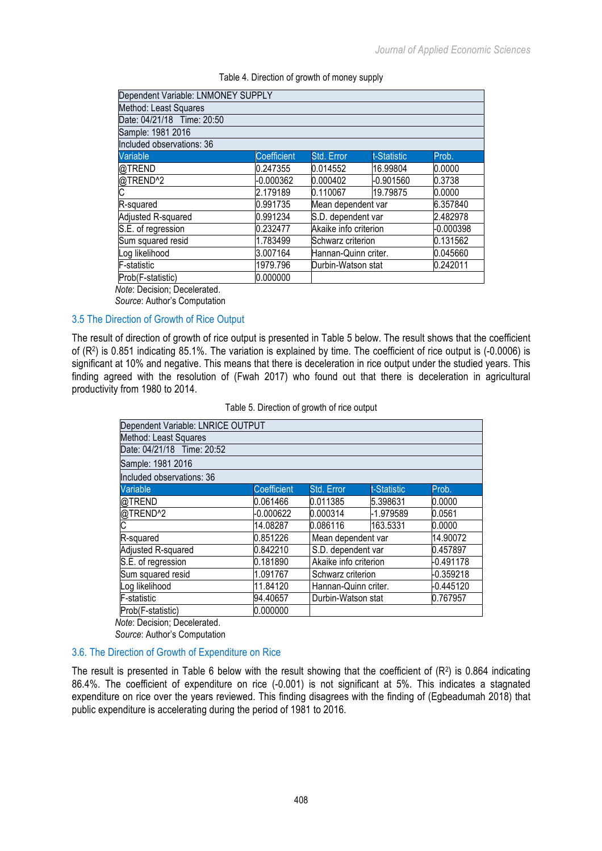| Dependent Variable: LNMONEY SUPPLY |                    |                       |             |           |
|------------------------------------|--------------------|-----------------------|-------------|-----------|
| Method: Least Squares              |                    |                       |             |           |
| Date: 04/21/18 Time: 20:50         |                    |                       |             |           |
| Sample: 1981 2016                  |                    |                       |             |           |
| Included observations: 36          |                    |                       |             |           |
| <b>Variable</b>                    | <b>Coefficient</b> | Std. Error            | t-Statistic | Prob.     |
| @TREND                             | 0.247355           | 0.014552              | 16.99804    | 0.0000    |
| @TREND <sup>^2</sup>               | $-0.000362$        | 0.000402              | -0.901560   | 0.3738    |
| C                                  | 2.179189           | 0.110067              | 19.79875    | 0.0000    |
| R-squared                          | 0.991735           | Mean dependent var    |             | 6.357840  |
| Adjusted R-squared                 | 0.991234           | S.D. dependent var    |             | 2.482978  |
| S.E. of regression                 | 0.232477           | Akaike info criterion |             | -0.000398 |
| Sum squared resid                  | 1.783499           | Schwarz criterion     |             | 0.131562  |
| Log likelihood                     | 3.007164           | Hannan-Quinn criter.  |             | 0.045660  |
| <b>F-statistic</b>                 | 1979.796           | Durbin-Watson stat    |             | 0.242011  |
| Prob(F-statistic)                  | 0.000000           |                       |             |           |
| المعلومة المممال ومماماته والمعادا |                    |                       |             |           |

#### Table 4. Direction of growth of money supply

*Note*: Decision; Decelerated. *Source*: Author's Computation

# 3.5 The Direction of Growth of Rice Output

The result of direction of growth of rice output is presented in Table 5 below. The result shows that the coefficient of (R2) is 0.851 indicating 85.1%. The variation is explained by time. The coefficient of rice output is (-0.0006) is significant at 10% and negative. This means that there is deceleration in rice output under the studied years. This finding agreed with the resolution of (Fwah 2017) who found out that there is deceleration in agricultural productivity from 1980 to 2014.

#### Table 5. Direction of growth of rice output

| Dependent Variable: LNRICE OUTPUT |                    |                       |             |           |
|-----------------------------------|--------------------|-----------------------|-------------|-----------|
| Method: Least Squares             |                    |                       |             |           |
| Date: 04/21/18 Time: 20:52        |                    |                       |             |           |
| Sample: 1981 2016                 |                    |                       |             |           |
| Included observations: 36         |                    |                       |             |           |
| Variable                          | <b>Coefficient</b> | Std. Error            | t-Statistic | Prob.     |
| @TREND                            | 0.061466           | 0.011385              | 5.398631    | 0.0000    |
| @TREND^2<br>C                     | -0.000622          | 0.000314              | -1.979589   | 0.0561    |
|                                   | 14.08287           | 0.086116              | 163.5331    | 0.0000    |
| R-squared                         | 0.851226           | Mean dependent var    |             | 14.90072  |
| Adjusted R-squared                | 0.842210           | S.D. dependent var    |             | 0.457897  |
| S.E. of regression                | 0.181890           | Akaike info criterion |             | -0.491178 |
| Sum squared resid                 | 1.091767           | Schwarz criterion     |             | -0.359218 |
| Log likelihood                    | 11.84120           | Hannan-Quinn criter.  |             | -0.445120 |
| F-statistic                       | 94.40657           | Durbin-Watson stat    |             | 0.767957  |
| Prob(F-statistic)                 | 0.000000           |                       |             |           |
| .<br>.                            |                    |                       |             |           |

*Note*: Decision; Decelerated. *Source*: Author's Computation

# 3.6. The Direction of Growth of Expenditure on Rice

The result is presented in Table 6 below with the result showing that the coefficient of  $(R^2)$  is 0.864 indicating 86.4%. The coefficient of expenditure on rice (-0.001) is not significant at 5%. This indicates a stagnated expenditure on rice over the years reviewed. This finding disagrees with the finding of (Egbeadumah 2018) that public expenditure is accelerating during the period of 1981 to 2016.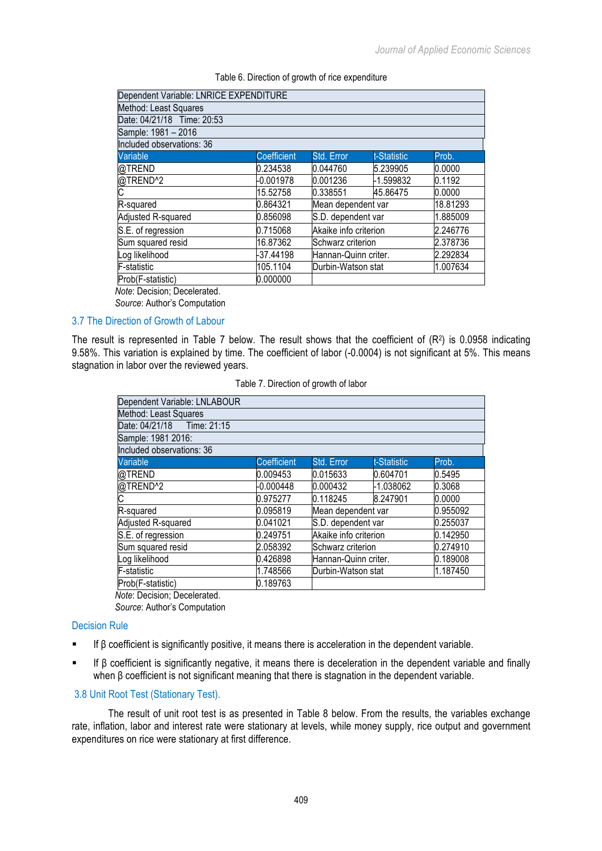|  |  |  |  |  | Table 6. Direction of growth of rice expenditure |
|--|--|--|--|--|--------------------------------------------------|
|--|--|--|--|--|--------------------------------------------------|

| Dependent Variable: LNRICE EXPENDITURE |             |                       |             |          |
|----------------------------------------|-------------|-----------------------|-------------|----------|
| Method: Least Squares                  |             |                       |             |          |
| Date: 04/21/18 Time: 20:53             |             |                       |             |          |
| Sample: 1981 - 2016                    |             |                       |             |          |
| Included observations: 36              |             |                       |             |          |
| Variable                               | Coefficient | Std. Error            | t-Statistic | Prob.    |
| @TREND                                 | 0.234538    | 0.044760              | 5.239905    | 0.0000   |
| @TREND <sup>^2</sup>                   | -0.001978   | 0.001236              | -1.599832   | 0.1192   |
| C                                      | 15.52758    | 0.338551              | 45.86475    | 0.0000   |
| R-squared                              | 0.864321    | Mean dependent var    |             | 18.81293 |
| Adjusted R-squared                     | 0.856098    | S.D. dependent var    |             | 1.885009 |
| S.E. of regression                     | 0.715068    | Akaike info criterion |             | 2.246776 |
| Sum squared resid                      | 16.87362    | Schwarz criterion     |             | 2.378736 |
| Log likelihood                         | -37.44198   | Hannan-Quinn criter.  |             | 2.292834 |
| F-statistic                            | 105.1104    | Durbin-Watson stat    |             | 1.007634 |
| Prob(F-statistic)                      | 0.000000    |                       |             |          |
|                                        |             |                       |             |          |

*Note*: Decision; Decelerated.

*Source*: Author's Computation

# 3.7 The Direction of Growth of Labour

The result is represented in Table 7 below. The result shows that the coefficient of  $(R<sup>2</sup>)$  is 0.0958 indicating 9.58%. This variation is explained by time. The coefficient of labor (-0.0004) is not significant at 5%. This means stagnation in labor over the reviewed years.

| Table 7. Direction of growth of labor |  |  |  |  |
|---------------------------------------|--|--|--|--|
|---------------------------------------|--|--|--|--|

| Dependent Variable: LNLABOUR |                    |                       |             |          |
|------------------------------|--------------------|-----------------------|-------------|----------|
| Method: Least Squares        |                    |                       |             |          |
| Date: 04/21/18 Time: 21:15   |                    |                       |             |          |
| Sample: 1981 2016:           |                    |                       |             |          |
| Included observations: 36    |                    |                       |             |          |
| Variable                     | <b>Coefficient</b> | Std. Error            | t-Statistic | Prob.    |
| @TREND                       | 0.009453           | 0.015633              | 0.604701    | 0.5495   |
|                              | -0.000448          | 0.000432              | -1.038062   | 0.3068   |
| @TREND^2<br>C                | 0.975277           | 0.118245              | 8.247901    | 0.0000   |
| R-squared                    | 0.095819           | Mean dependent var    |             | 0.955092 |
| Adjusted R-squared           | 0.041021           | S.D. dependent var    |             | 0.255037 |
| S.E. of regression           | 0.249751           | Akaike info criterion |             | 0.142950 |
| Sum squared resid            | 2.058392           | Schwarz criterion     |             | 0.274910 |
| Log likelihood               | 0.426898           | Hannan-Quinn criter.  |             | 0.189008 |
| F-statistic                  | 1.748566           | Durbin-Watson stat    |             | 1.187450 |
| Prob(F-statistic)            | 0.189763           |                       |             |          |

*Note*: Decision; Decelerated. *Source*: Author's Computation

# Decision Rule

- If β coefficient is significantly positive, it means there is acceleration in the dependent variable.
- If β coefficient is significantly negative, it means there is deceleration in the dependent variable and finally when β coefficient is not significant meaning that there is stagnation in the dependent variable.

# 3.8 Unit Root Test (Stationary Test).

The result of unit root test is as presented in Table 8 below. From the results, the variables exchange rate, inflation, labor and interest rate were stationary at levels, while money supply, rice output and government expenditures on rice were stationary at first difference.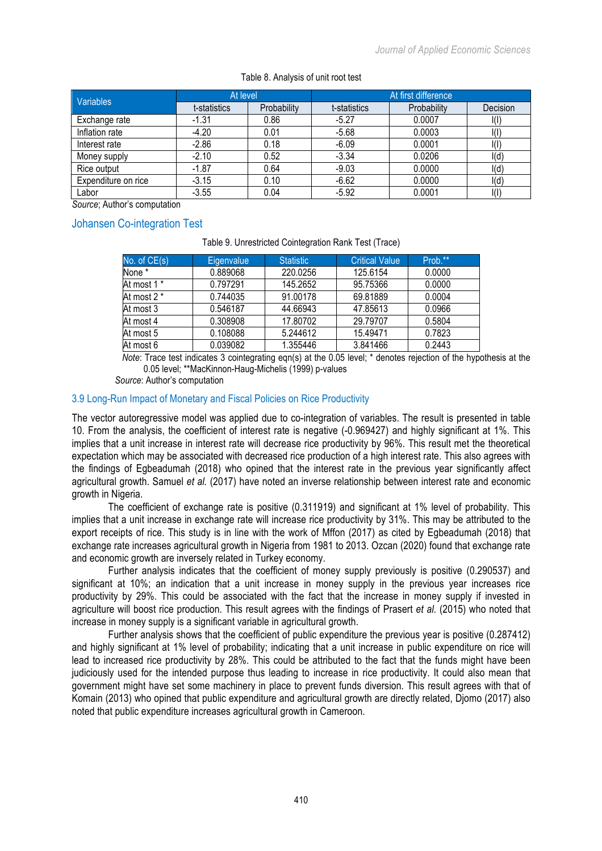| <b>Variables</b>    | At level     |             | At first difference |             |                          |
|---------------------|--------------|-------------|---------------------|-------------|--------------------------|
|                     | t-statistics | Probability | t-statistics        | Probability | Decision                 |
| Exchange rate       | $-1.31$      | 0.86        | $-5.27$             | 0.0007      | l(I)                     |
| Inflation rate      | $-4.20$      | 0.01        | $-5.68$             | 0.0003      | l(ľ                      |
| Interest rate       | $-2.86$      | 0.18        | $-6.09$             | 0.0001      | $\mathsf{I}(\mathsf{I})$ |
| Money supply        | $-2.10$      | 0.52        | $-3.34$             | 0.0206      | l(d)                     |
| Rice output         | $-1.87$      | 0.64        | $-9.03$             | 0.0000      | I(d)                     |
| Expenditure on rice | $-3.15$      | 0.10        | $-6.62$             | 0.0000      | I(d)                     |
| Labor               | $-3.55$      | 0.04        | $-5.92$             | 0.0001      |                          |

#### Table 8. Analysis of unit root test

*Source*; Author's computation

# Johansen Co-integration Test

#### Table 9. Unrestricted Cointegration Rank Test (Trace)

| No. of $CE(s)$ | Eigenvalue | <b>Statistic</b> | <b>Critical Value</b> | Prob.** |
|----------------|------------|------------------|-----------------------|---------|
| None *         | 0.889068   | 220.0256         | 125.6154              | 0.0000  |
| At most 1 *    | 0.797291   | 145.2652         | 95.75366              | 0.0000  |
| At most 2 *    | 0.744035   | 91.00178         | 69.81889              | 0.0004  |
| At most 3      | 0.546187   | 44.66943         | 47.85613              | 0.0966  |
| At most 4      | 0.308908   | 17.80702         | 29.79707              | 0.5804  |
| At most 5      | 0.108088   | 5.244612         | 15.49471              | 0.7823  |
| At most 6      | 0.039082   | 1.355446         | 3.841466              | 0.2443  |

*Note*: Trace test indicates 3 cointegrating eqn(s) at the 0.05 level; \* denotes rejection of the hypothesis at the 0.05 level; \*\*MacKinnon-Haug-Michelis (1999) p-values

*Source*: Author's computation

#### 3.9 Long-Run Impact of Monetary and Fiscal Policies on Rice Productivity

The vector autoregressive model was applied due to co-integration of variables. The result is presented in table 10. From the analysis, the coefficient of interest rate is negative (-0.969427) and highly significant at 1%. This implies that a unit increase in interest rate will decrease rice productivity by 96%. This result met the theoretical expectation which may be associated with decreased rice production of a high interest rate. This also agrees with the findings of Egbeadumah (2018) who opined that the interest rate in the previous year significantly affect agricultural growth. Samuel *et al.* (2017) have noted an inverse relationship between interest rate and economic growth in Nigeria.

The coefficient of exchange rate is positive (0.311919) and significant at 1% level of probability. This implies that a unit increase in exchange rate will increase rice productivity by 31%. This may be attributed to the export receipts of rice. This study is in line with the work of Mffon (2017) as cited by Egbeadumah (2018) that exchange rate increases agricultural growth in Nigeria from 1981 to 2013. Ozcan (2020) found that exchange rate and economic growth are inversely related in Turkey economy.

Further analysis indicates that the coefficient of money supply previously is positive (0.290537) and significant at 10%; an indication that a unit increase in money supply in the previous year increases rice productivity by 29%. This could be associated with the fact that the increase in money supply if invested in agriculture will boost rice production. This result agrees with the findings of Prasert *et al.* (2015) who noted that increase in money supply is a significant variable in agricultural growth.

Further analysis shows that the coefficient of public expenditure the previous year is positive (0.287412) and highly significant at 1% level of probability; indicating that a unit increase in public expenditure on rice will lead to increased rice productivity by 28%. This could be attributed to the fact that the funds might have been judiciously used for the intended purpose thus leading to increase in rice productivity. It could also mean that government might have set some machinery in place to prevent funds diversion. This result agrees with that of Komain (2013) who opined that public expenditure and agricultural growth are directly related, Djomo (2017) also noted that public expenditure increases agricultural growth in Cameroon.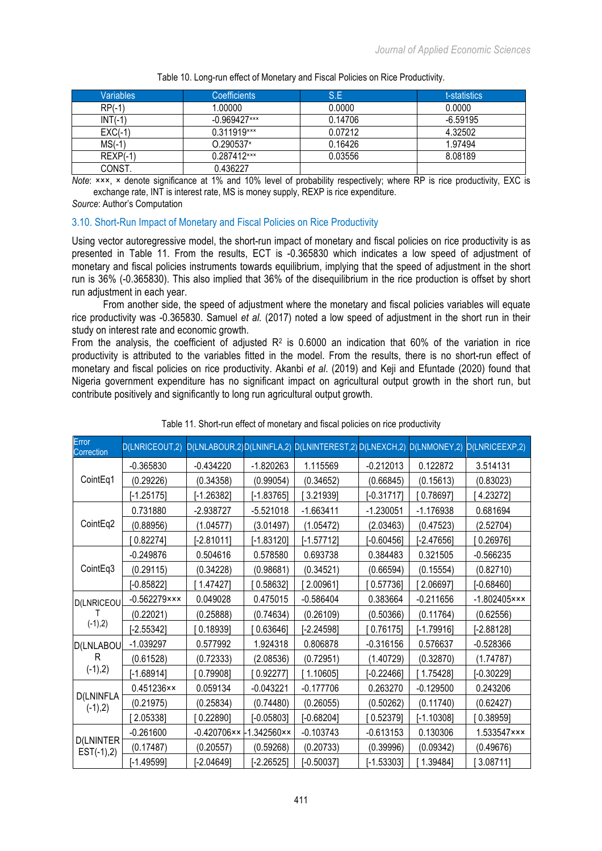| Variables  | <b>Coefficients</b> | S.E     | t-statistics |
|------------|---------------------|---------|--------------|
| $RP(-1)$   | 1.00000             | 0.0000  | 0.0000       |
| $INT(-1)$  | $-0.969427***$      | 0.14706 | $-6.59195$   |
| $EXC(-1)$  | 0.311919***         | 0.07212 | 4.32502      |
| $MS(-1)$   | O.290537*           | 0.16426 | 1.97494      |
| $REXP(-1)$ | 0.287412***         | 0.03556 | 8.08189      |
| CONST.     | 0.436227            |         |              |

Table 10. Long-run effect of Monetary and Fiscal Policies on Rice Productivity.

*Note*: ×××, × denote significance at 1% and 10% level of probability respectively; where RP is rice productivity, EXC is exchange rate, INT is interest rate, MS is money supply, REXP is rice expenditure.

*Source*: Author's Computation

#### 3.10. Short-Run Impact of Monetary and Fiscal Policies on Rice Productivity

Using vector autoregressive model, the short-run impact of monetary and fiscal policies on rice productivity is as presented in Table 11. From the results, ECT is -0.365830 which indicates a low speed of adjustment of monetary and fiscal policies instruments towards equilibrium, implying that the speed of adjustment in the short run is 36% (-0.365830). This also implied that 36% of the disequilibrium in the rice production is offset by short run adjustment in each year.

From another side, the speed of adjustment where the monetary and fiscal policies variables will equate rice productivity was -0.365830. Samuel *et al.* (2017) noted a low speed of adjustment in the short run in their study on interest rate and economic growth.

From the analysis, the coefficient of adjusted  $R^2$  is 0.6000 an indication that 60% of the variation in rice productivity is attributed to the variables fitted in the model. From the results, there is no short-run effect of monetary and fiscal policies on rice productivity. Akanbi *et al*. (2019) and Keji and Efuntade (2020) found that Nigeria government expenditure has no significant impact on agricultural output growth in the short run, but contribute positively and significantly to long run agricultural output growth.

| Error<br>Correction              | D(LNRICEOUT,2)                |                      |                      | D(LNLABOUR,2)D(LNINFLA,2) D(LNINTEREST,2)D(LNEXCH,2) D(LNMONEY,2) |              |              | D(LNRICEEXP,2)    |
|----------------------------------|-------------------------------|----------------------|----------------------|-------------------------------------------------------------------|--------------|--------------|-------------------|
| CointEq1                         | $-0.365830$                   | $-0.434220$          | $-1.820263$          | 1.115569                                                          | $-0.212013$  | 0.122872     | 3.514131          |
|                                  | (0.29226)                     | (0.34358)            | (0.99054)            | (0.34652)                                                         | (0.66845)    | (0.15613)    | (0.83023)         |
|                                  | $[-1.25175]$                  | $[-1.26382]$         | $[-1.83765]$         | 3.21939                                                           | $[-0.31717]$ | 0.78697      | 4.23272]          |
| CointEq2                         | 0.731880                      | $-2.938727$          | $-5.521018$          | $-1.663411$                                                       | $-1.230051$  | $-1.176938$  | 0.681694          |
|                                  | (0.88956)                     | (1.04577)            | (3.01497)            | (1.05472)                                                         | (2.03463)    | (0.47523)    | (2.52704)         |
|                                  | [0.82274]                     | [-2.81011]           | $[-1.83120]$         | $[-1.57712]$                                                      | $-0.60456$ ] | $[-2.47656]$ | 0.26976           |
| CointEq3                         | $-0.249876$                   | 0.504616             | 0.578580             | 0.693738                                                          | 0.384483     | 0.321505     | $-0.566235$       |
|                                  | (0.29115)                     | (0.34228)            | (0.98681)            | (0.34521)                                                         | (0.66594)    | (0.15554)    | (0.82710)         |
|                                  | $[-0.85822]$                  | [1.47427]            | [0.58632]            | [2.00961]                                                         | 0.57736      | [2.06697]    | $[-0.68460]$      |
| <b>D(LNRICEOU</b><br>$(-1),2)$   | $-0.562279$ $\times$ $\times$ | 0.049028             | 0.475015             | $-0.586404$                                                       | 0.383664     | $-0.211656$  | $-1.802405$ × × × |
|                                  | (0.22021)                     | (0.25888)            | (0.74634)            | (0.26109)                                                         | (0.50366)    | (0.11764)    | (0.62556)         |
|                                  | $[-2.55342]$                  | 0.18939              | 0.63646]             | [-2.24598]                                                        | 0.76175      | [-1.79916]   | $-2.88128$        |
| D(LNLABOU<br>R<br>$(-1),2)$      | $-1.039297$                   | 0.577992             | 1.924318             | 0.806878                                                          | $-0.316156$  | 0.576637     | $-0.528366$       |
|                                  | (0.61528)                     | (0.72333)            | (2.08536)            | (0.72951)                                                         | (1.40729)    | (0.32870)    | (1.74787)         |
|                                  | $[-1.68914]$                  | 0.79908              | 0.92277              | [1.10605]                                                         | $[-0.22466]$ | [1.75428]    | $[-0.30229]$      |
| <b>D(LNINFLA</b><br>$(-1),2)$    | $0.451236 \times x$           | 0.059134             | $-0.043221$          | $-0.177706$                                                       | 0.263270     | $-0.129500$  | 0.243206          |
|                                  | (0.21975)                     | (0.25834)            | (0.74480)            | (0.26055)                                                         | (0.50262)    | (0.11740)    | (0.62427)         |
|                                  | 2.05338]                      | 0.22890              | $[-0.05803]$         | $[-0.68204]$                                                      | 0.52379]     | $[-1.10308]$ | 0.38959]          |
| <b>D(LNINTER</b><br>$EST(-1),2)$ | $-0.261600$                   | $-0.420706 \times$ - | $-1.342560 \times x$ | $-0.103743$                                                       | $-0.613153$  | 0.130306     | 1.533547×××       |
|                                  | (0.17487)                     | (0.20557)            | (0.59268)            | (0.20733)                                                         | (0.39996)    | (0.09342)    | (0.49676)         |
|                                  | $[-1.49599]$                  | [-2.04649]           | $[-2.26525]$         | $[-0.50037]$                                                      | $[-1.53303]$ | 1.39484]     | 3.08711]          |

Table 11. Short-run effect of monetary and fiscal policies on rice productivity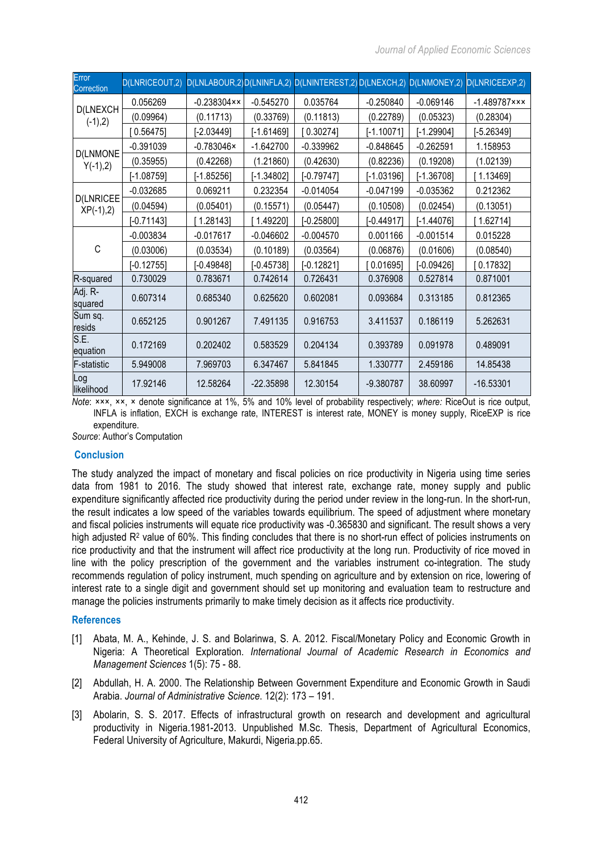| Error<br>Correction             | D(LNRICEOUT,2) |                      |              | D(LNLABOUR,2)D(LNINFLA,2) D(LNINTEREST,2) D(LNEXCH,2) |              | D(LNMONEY,2) | D(LNRICEEXP,2)  |
|---------------------------------|----------------|----------------------|--------------|-------------------------------------------------------|--------------|--------------|-----------------|
| D(LNEXCH<br>$(-1),2)$           | 0.056269       | $-0.238304 \times x$ | $-0.545270$  | 0.035764                                              | $-0.250840$  | $-0.069146$  | $-1.489787$ *** |
|                                 | (0.09964)      | (0.11713)            | (0.33769)    | (0.11813)                                             | (0.22789)    | (0.05323)    | (0.28304)       |
|                                 | 0.56475        | $[-2.03449]$         | $[-1.61469]$ | $0.30274$ ]                                           | $[-1.10071]$ | $[-1.29904]$ | $[-5.26349]$    |
| <b>D(LNMONE</b><br>$Y(-1),2)$   | $-0.391039$    | $-0.783046 \times$   | $-1.642700$  | $-0.339962$                                           | $-0.848645$  | $-0.262591$  | 1.158953        |
|                                 | (0.35955)      | (0.42268)            | (1.21860)    | (0.42630)                                             | (0.82236)    | (0.19208)    | (1.02139)       |
|                                 | $[-1.08759]$   | $[-1.85256]$         | $[-1.34802]$ | $[-0.79747]$                                          | $[-1.03196]$ | $[-1.36708]$ | 1.13469]        |
| <b>D(LNRICEE</b><br>$XP(-1),2)$ | $-0.032685$    | 0.069211             | 0.232354     | $-0.014054$                                           | $-0.047199$  | $-0.035362$  | 0.212362        |
|                                 | (0.04594)      | (0.05401)            | (0.15571)    | (0.05447)                                             | (0.10508)    | (0.02454)    | (0.13051)       |
|                                 | $[-0.71143]$   | 1.28143]             | 1.49220]     | $-0.25800$ ]                                          | $[-0.44917]$ | $[-1.44076]$ | 1.62714]        |
| C                               | $-0.003834$    | $-0.017617$          | $-0.046602$  | $-0.004570$                                           | 0.001166     | $-0.001514$  | 0.015228        |
|                                 | (0.03006)      | (0.03534)            | (0.10189)    | (0.03564)                                             | (0.06876)    | (0.01606)    | (0.08540)       |
|                                 | $[-0.12755]$   | $[-0.49848]$         | $[-0.45738]$ | $[-0.12821]$                                          | 0.01695      | $[-0.09426]$ | 0.17832]        |
| R-squared                       | 0.730029       | 0.783671             | 0.742614     | 0.726431                                              | 0.376908     | 0.527814     | 0.871001        |
| Adj. R-<br>squared              | 0.607314       | 0.685340             | 0.625620     | 0.602081                                              | 0.093684     | 0.313185     | 0.812365        |
| Sum sq.<br>resids               | 0.652125       | 0.901267             | 7.491135     | 0.916753                                              | 3.411537     | 0.186119     | 5.262631        |
| S.E.<br>equation                | 0.172169       | 0.202402             | 0.583529     | 0.204134                                              | 0.393789     | 0.091978     | 0.489091        |
| <b>F-statistic</b>              | 5.949008       | 7.969703             | 6.347467     | 5.841845                                              | 1.330777     | 2.459186     | 14.85438        |
| Log<br>likelihood               | 17.92146       | 12.58264             | $-22.35898$  | 12.30154                                              | $-9.380787$  | 38.60997     | $-16.53301$     |

*Note*: ×××, ××, × denote significance at 1%, 5% and 10% level of probability respectively; *where:* RiceOut is rice output, INFLA is inflation, EXCH is exchange rate, INTEREST is interest rate, MONEY is money supply, RiceEXP is rice expenditure.

*Source*: Author's Computation

# **Conclusion**

The study analyzed the impact of monetary and fiscal policies on rice productivity in Nigeria using time series data from 1981 to 2016. The study showed that interest rate, exchange rate, money supply and public expenditure significantly affected rice productivity during the period under review in the long-run. In the short-run, the result indicates a low speed of the variables towards equilibrium. The speed of adjustment where monetary and fiscal policies instruments will equate rice productivity was -0.365830 and significant. The result shows a very high adjusted R<sup>2</sup> value of 60%. This finding concludes that there is no short-run effect of policies instruments on rice productivity and that the instrument will affect rice productivity at the long run. Productivity of rice moved in line with the policy prescription of the government and the variables instrument co-integration. The study recommends regulation of policy instrument, much spending on agriculture and by extension on rice, lowering of interest rate to a single digit and government should set up monitoring and evaluation team to restructure and manage the policies instruments primarily to make timely decision as it affects rice productivity.

# **References**

- [1] Abata, M. A., Kehinde, J. S. and Bolarinwa, S. A. 2012. Fiscal/Monetary Policy and Economic Growth in Nigeria: A Theoretical Exploration. *International Journal of Academic Research in Economics and Management Sciences* 1(5): 75 - 88.
- [2] Abdullah, H. A. 2000. The Relationship Between Government Expenditure and Economic Growth in Saudi Arabia. *Journal of Administrative Science*. 12(2): 173 – 191.
- [3] Abolarin, S. S. 2017. Effects of infrastructural growth on research and development and agricultural productivity in Nigeria.1981-2013. Unpublished M.Sc. Thesis, Department of Agricultural Economics, Federal University of Agriculture, Makurdi, Nigeria.pp.65.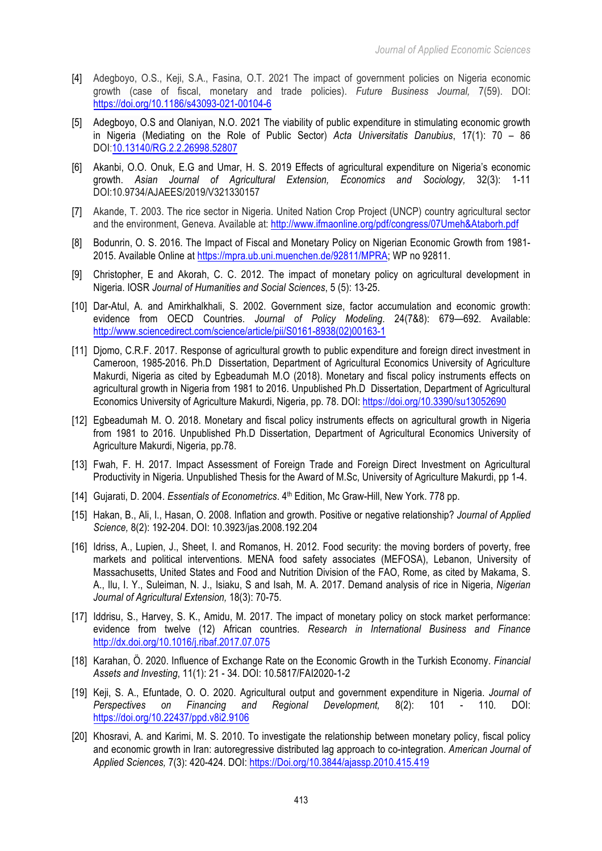- [4] Adegboyo, O.S., Keji, S.A., Fasina, O.T. 2021 The impact of government policies on Nigeria economic growth (case of fiscal, monetary and trade policies). *Future Business Journal,* 7(59). DOI: https://doi.org/10.1186/s43093-021-00104-6
- [5] Adegboyo, O.S and Olaniyan, N.O. 2021 The viability of public expenditure in stimulating economic growth in Nigeria (Mediating on the Role of Public Sector) *Acta Universitatis Danubius*, 17(1): 70 – 86 DOI:10.13140/RG.2.2.26998.52807
- [6] Akanbi, O.O. Onuk, E.G and Umar, H. S. 2019 Effects of agricultural expenditure on Nigeria's economic growth. *Asian Journal of Agricultural Extension, Economics and Sociology,* 32(3): 1-11 DOI:10.9734/AJAEES/2019/V321330157
- [7] Akande, T. 2003. The rice sector in Nigeria. United Nation Crop Project (UNCP) country agricultural sector and the environment, Geneva. Available at: http://www.ifmaonline.org/pdf/congress/07Umeh&Ataborh.pdf
- [8] Bodunrin, O. S. 2016. The Impact of Fiscal and Monetary Policy on Nigerian Economic Growth from 1981- 2015. Available Online at https://mpra.ub.uni.muenchen.de/92811/MPRA; WP no 92811.
- [9] Christopher, E and Akorah, C. C. 2012. The impact of monetary policy on agricultural development in Nigeria. IOSR *Journal of Humanities and Social Sciences*, 5 (5): 13-25.
- [10] Dar-Atul, A. and Amirkhalkhali, S. 2002. Government size, factor accumulation and economic growth: evidence from OECD Countries. *Journal of Policy Modeling*. 24(7&8): 679—692. Available: http://www.sciencedirect.com/science/article/pii/S0161-8938(02)00163-1
- [11] Diomo, C.R.F. 2017. Response of agricultural growth to public expenditure and foreign direct investment in Cameroon, 1985-2016. Ph.D Dissertation, Department of Agricultural Economics University of Agriculture Makurdi, Nigeria as cited by Egbeadumah M.O (2018). Monetary and fiscal policy instruments effects on agricultural growth in Nigeria from 1981 to 2016. Unpublished Ph.D Dissertation, Department of Agricultural Economics University of Agriculture Makurdi, Nigeria, pp. 78. DOI: https://doi.org/10.3390/su13052690
- [12] Egbeadumah M. O. 2018. Monetary and fiscal policy instruments effects on agricultural growth in Nigeria from 1981 to 2016. Unpublished Ph.D Dissertation, Department of Agricultural Economics University of Agriculture Makurdi, Nigeria, pp.78.
- [13] Fwah, F. H. 2017. Impact Assessment of Foreign Trade and Foreign Direct Investment on Agricultural Productivity in Nigeria. Unpublished Thesis for the Award of M.Sc, University of Agriculture Makurdi, pp 1-4.
- [14] Gujarati, D. 2004. *Essentials of Econometrics*.  $4<sup>th</sup>$  Edition, Mc Graw-Hill, New York. 778 pp.
- [15] Hakan, B., Ali, I., Hasan, O. 2008. Inflation and growth. Positive or negative relationship? *Journal of Applied Science,* 8(2): 192-204. DOI: 10.3923/jas.2008.192.204
- [16] Idriss, A., Lupien, J., Sheet, I. and Romanos, H. 2012. Food security: the moving borders of poverty, free markets and political interventions. MENA food safety associates (MEFOSA), Lebanon, University of Massachusetts, United States and Food and Nutrition Division of the FAO, Rome, as cited by Makama, S. A., Ilu, I. Y., Suleiman, N. J., Isiaku, S and Isah, M. A. 2017. Demand analysis of rice in Nigeria, *Nigerian Journal of Agricultural Extension,* 18(3): 70-75.
- [17] Iddrisu, S., Harvey, S. K., Amidu, M. 2017. The impact of monetary policy on stock market performance: evidence from twelve (12) African countries. *Research in International Business and Finance* http://dx.doi.org/10.1016/j.ribaf.2017.07.075
- [18] Karahan, Ö. 2020. Influence of Exchange Rate on the Economic Growth in the Turkish Economy. *Financial Assets and Investing*, 11(1): 21 - 34. DOI: 10.5817/FAI2020-1-2
- [19] Keji, S. A., Efuntade, O. O. 2020. Agricultural output and government expenditure in Nigeria. *Journal of Perspectives on Financing and Regional Development,* 8(2): 101 - 110*.* DOI: https://doi.org/10.22437/ppd.v8i2.9106
- [20] Khosravi, A. and Karimi, M. S. 2010. To investigate the relationship between monetary policy, fiscal policy and economic growth in Iran: autoregressive distributed lag approach to co-integration. *American Journal of Applied Sciences,* 7(3): 420-424. DOI: https://Doi.org/10.3844/ajassp.2010.415.419